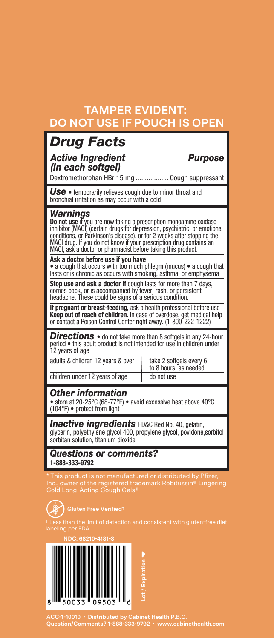## **TAMPER EVIDENT: DO NOT USE IF POUCH IS OPEN**

| <b>Drug Facts</b>                                                                                                                                                                                                                                                                                                                                                                                                                                                                                                                                           |                                                  |
|-------------------------------------------------------------------------------------------------------------------------------------------------------------------------------------------------------------------------------------------------------------------------------------------------------------------------------------------------------------------------------------------------------------------------------------------------------------------------------------------------------------------------------------------------------------|--------------------------------------------------|
| <b>Active Ingredient</b><br>(in each softgel)                                                                                                                                                                                                                                                                                                                                                                                                                                                                                                               | <b>Purpose</b>                                   |
| Dextromethorphan HBr 15 mg  Cough suppressant                                                                                                                                                                                                                                                                                                                                                                                                                                                                                                               |                                                  |
| $Use • temporarily relies to the union of the following equations: \bullet$<br>bronchial irritation as may occur with a cold                                                                                                                                                                                                                                                                                                                                                                                                                                |                                                  |
| Warnings<br>Do not use if you are now taking a prescription monoamine oxidase<br>inhibitor (MAOI) (certain drugs for depression, psychiatric, or emotional<br>conditions, or Parkinson's disease), or for 2 weeks after stopping the<br>MAOI drug. If you do not know if your prescription drug contains an<br>MAOI, ask a doctor or pharmacist before taking this product.<br>Ask a doctor before use if you have<br>• a cough that occurs with too much phlegm (mucus) • a cough that<br>lasts or is chronic as occurs with smoking, asthma, or emphysema |                                                  |
| Stop use and ask a doctor if cough lasts for more than 7 days,<br>comes back, or is accompanied by fever, rash, or persistent<br>headache. These could be signs of a serious condition.                                                                                                                                                                                                                                                                                                                                                                     |                                                  |
| If pregnant or breast-feeding, ask a health professional before use<br>Keep out of reach of children. In case of overdose, get medical help<br>or contact a Poison Control Center right away. (1-800-222-1222)                                                                                                                                                                                                                                                                                                                                              |                                                  |
| <b>Directions</b> • do not take more than 8 softgels in any 24-hour<br>period . this adult product is not intended for use in children under<br>12 years of age<br>adults & children 12 years & over                                                                                                                                                                                                                                                                                                                                                        | take 2 softgels every 6<br>to 8 hours, as needed |
| children under 12 years of age                                                                                                                                                                                                                                                                                                                                                                                                                                                                                                                              | do not use                                       |
| <b>Other information</b><br>• store at 20-25°C (68-77°F) • avoid excessive heat above 40°C<br>(104°F) • protect from light                                                                                                                                                                                                                                                                                                                                                                                                                                  |                                                  |
| <b>Inactive ingredients</b> FD&C Red No. 40, gelatin,<br>glycerin, polyethylene glycol 400, propylene glycol, povidone, sorbitol<br>sorbitan solution, titanium dioxide                                                                                                                                                                                                                                                                                                                                                                                     |                                                  |
| <b>Questions or comments?</b><br>1-888-333-9792                                                                                                                                                                                                                                                                                                                                                                                                                                                                                                             |                                                  |
| This product is not manufactured or distributed by Pfizer,<br>Inc., owner of the registered trademark Robitussin® Lingering<br>Cold Long-Acting Cough Gels®                                                                                                                                                                                                                                                                                                                                                                                                 |                                                  |
| <b>Gluten Free Verified<sup>+</sup></b><br>Less than the limit of detection and consistent with gluten-free diet<br>labeling per FDA                                                                                                                                                                                                                                                                                                                                                                                                                        |                                                  |
| NDC: 68210-4181-3                                                                                                                                                                                                                                                                                                                                                                                                                                                                                                                                           |                                                  |
|                                                                                                                                                                                                                                                                                                                                                                                                                                                                                                                                                             |                                                  |

**Lot** / **Expiration** 8 50033 09503

**ACC-1-10010 • Distributed by Cabinet Health P.B.C. Question/Comments? 1-888-333-9792 • www.cabinethealth.com**